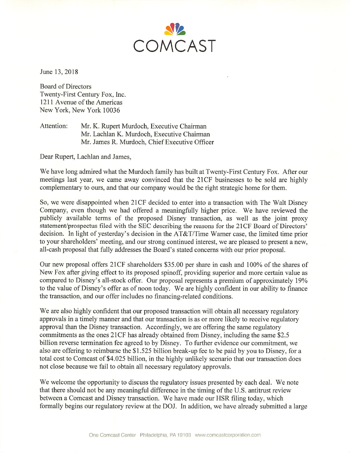

June 13, 2018

Board of Directors Twenty-First Century Fox, Inc. 1211 Avenue of the Americas New York, New York 10036

Attention: Mr. K. Rupert Murdoch, Executive Chairman Mr. Lachlan K. Murdoch, Executive Chairman Mr. James R. Murdoch, Chief Executive Officer

Dear Rupert, Lachlan and James,

We have long admired what the Murdoch family has built at Twenty-First Century Fox. After our meetings last year, we came away convinced that the 21CF businesses to be sold are highly complementary to ours, and that our company would be the right strategic home for them.

So, we were disappointed when 21CF decided to enter into a transaction with The Walt Disney Company, even though we had offered a meaningfully higher price. We have reviewed the publicly available terms of the proposed Disney transaction, as well as the joint proxy statement/prospectus filed with the SEC describing the reasons for the 21CF Board of Directors' decision. In light of yesterday's decision in the AT&T/Time Warner case, the limited time prior to your shareholders' meeting, and our strong continued interest, we are pleased to present a new, all-cash proposal that fully addresses the Board's stated concerns with our prior proposal.

Our new proposal offers 21CF shareholders \$35.00 per share in cash and 100% of the shares of New Fox after giving effect to its proposed spinoff, providing superior and more certain value as compared to Disney's all-stock offer. Our proposal represents a premium of approximately 19% to the value of Disney's offer as of noon today. We are highly confident in our ability to finance the transaction, and our offer includes no financing-related conditions.

We are also highly confident that our proposed transaction will obtain all necessary regulatory approvals in a timely manner and that our transaction is as or more likely to receive regulatory approval than the Disney transaction. Accordingly, we are offering the same regulatory commitments as the ones 21CF has already obtained from Disney, including the same \$2.5 billion reverse termination fee agreed to by Disney. To further evidence our commitment, we also are offering to reimburse the \$1.525 billion break-up fee to be paid by you to Disney, for a total cost to Comcast of \$4.025 billion, in the highly unlikely scenario that our transaction does not close because we fail to obtain all necessary regulatory approvals.

We welcome the opportunity to discuss the regulatory issues presented by each deal. We note that there should not be any meaningful difference in the timing of the U.S. antitrust review between a Comcast and Disney transaction. We have made our HSR filing today, which formally begins our regulatory review at the DOJ. In addition, we have already submitted a large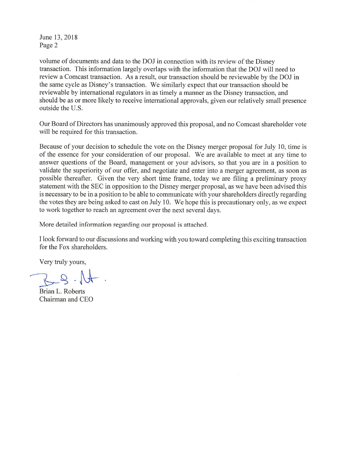June 13, 2018 Page 2

volume of documents and data to the DOJ in connection with its review of the Disney transaction. This information largely overlaps with the information that the DOJ will need to review a Comcast transaction. As a result, our transaction should be reviewable by the DOJ in the same cycle as Disney's transaction. We similarly expect that our transaction should be reviewable by international regulators in as timely a manner as the Disney transaction, and should be as or more likely to receive international approvals, given our relatively small presence outside the U.S.

Our Board of Directors has unanimously approved this proposal, and no Comcast shareholder vote will be required for this transaction.

Because of your decision to schedule the vote on the Disney merger proposal for July 10, time is of the essence for your consideration of our proposal. We are available to meet at any time to answer questions of the Board, management or your advisors, so that you are in a position to validate the superiority of our offer, and negotiate and enter into a merger agreement, as soon as possible thereafter. Given the very short time frame, today we are filing a preliminary proxy statement with the SEC in opposition to the Disney merger proposal, as we have been advised this is necessary to be in a position to be able to communicate with your shareholders directly regarding the votes they are being asked to cast on July 10. We hope this is precautionary only, as we expect to work together to reach an agreement over the next several days.

More detailed information regarding our proposal is attached.

I look forward to our discussions and working with you toward completing this exciting transaction for the Fox shareholders.

Very truly yours,

 $A$ .  $27$ 

Brian L. Roberts Chairman and CEO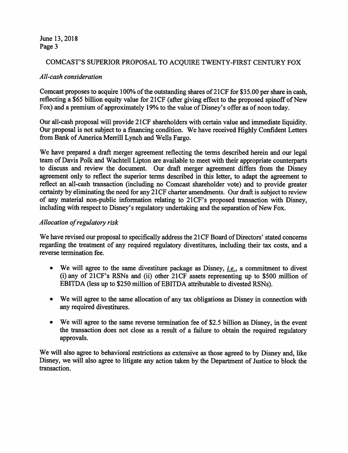June 13, 2018 Page 3

## COMCAST'S SUPERIOR PROPOSAL TO ACQUIRE TWENTY-FIRST CENTURY FOX

# All-cash consideration

Comcast proposes to acquire 100% of the outstanding shares of 21CF for \$35.00 per share in cash, reflecting a \$65 billion equity value for 21CF (after giving effect to the proposed spinoff of New Fox) and a premium of approximately 19% to the value of Disney's offer as of noon today.

Our all-cash proposal will provide 21CF shareholders with certain value and immediate liquidity. Our proposal is not subject to a financing condition. We have received Highly Confident Letters from Bank of America Merrill Lynch and Wells Fargo.

We have prepared a draft merger agreement reflecting the terms described herein and our legal team of Davis Polk and Wachtell Lipton are available to meet with their appropriate counterparts to discuss and review the document. Our draft merger agreement differs from the Disney agreement only to reflect the superior terms described in this letter, to adapt the agreement to reflect an all-cash transaction (including no Comcast shareholder vote) and to provide greater certainty by eliminating the need for any 21CF charter amendments. Our draft is subject to review of any material non-public information relating to 21CF's proposed transaction with Disney, including with respect to Disney's regulatory undertaking and the separation of New Fox.

# Allocation of regulatory risk

We have revised our proposal to specifically address the 21CF Board of Directors' stated concerns regarding the treatment of any required regulatory divestitures, including their tax costs, and a reverse termination fee.

- We will agree to the same divestiture package as Disney, *i.e.*, a commitment to divest (i) any of 21CF's RSNs and (ii) other 21CF assets representing up to \$500 million of EBITDA (less up to \$250 million of EBITDA attributable to divested RSNs).
- We will agree to the same allocation of any tax obligations as Disney in connection with any required divestitures.
- We will agree to the same reverse termination fee of \$2.5 billion as Disney, in the event  $\bullet$ the transaction does not close as a result of a failure to obtain the required regulatory approvals.

We will also agree to behavioral restrictions as extensive as those agreed to by Disney and, like Disney, we will also agree to litigate any action taken by the Department of Justice to block the transaction.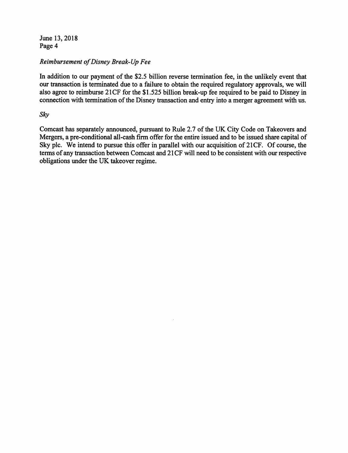June 13, 2018 Page 4

## Reimbursement of Disney Break-Up Fee

In addition to our payment of the \$2.5 billion reverse termination fee, in the unlikely event that our transaction is terminated due to a failure to obtain the required regulatory approvals, we will also agree to reimburse 21CF for the \$1.525 billion break-up fee required to be paid to Disney in connection with termination of the Disney transaction and entry into a merger agreement with us.

Sky

Comcast has separately announced, pursuant to Rule 2.7 of the UK City Code on Takeovers and Mergers, a pre-conditional all-cash firm offer for the entire issued and to be issued share capital of Sky plc. We intend to pursue this offer in parallel with our acquisition of 21CF. Of course, the terms of any transaction between Comcast and 21CF will need to be consistent with our respective obligations under the UK takeover regime.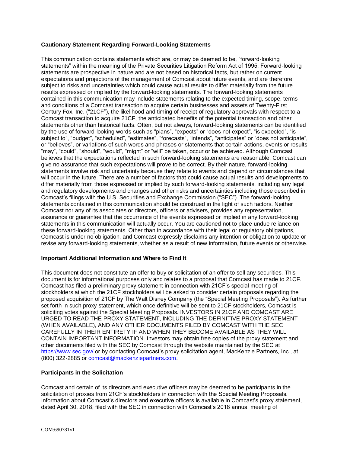### **Cautionary Statement Regarding Forward-Looking Statements**

This communication contains statements which are, or may be deemed to be, "forward-looking statements" within the meaning of the Private Securities Litigation Reform Act of 1995. Forward-looking statements are prospective in nature and are not based on historical facts, but rather on current expectations and projections of the management of Comcast about future events, and are therefore subject to risks and uncertainties which could cause actual results to differ materially from the future results expressed or implied by the forward-looking statements. The forward-looking statements contained in this communication may include statements relating to the expected timing, scope, terms and conditions of a Comcast transaction to acquire certain businesses and assets of Twenty-First Century Fox, Inc. ("21CF"), the likelihood and timing of receipt of regulatory approvals with respect to a Comcast transaction to acquire 21CF, the anticipated benefits of the potential transaction and other statements other than historical facts. Often, but not always, forward-looking statements can be identified by the use of forward-looking words such as "plans", "expects" or "does not expect", "is expected", "is subiect to", "budget", "scheduled", "estimates", "forecasts", "intends", "anticipates" or "does not anticipate", or "believes", or variations of such words and phrases or statements that certain actions, events or results "may", "could", "should", "would", "might" or "will" be taken, occur or be achieved. Although Comcast believes that the expectations reflected in such forward-looking statements are reasonable, Comcast can give no assurance that such expectations will prove to be correct. By their nature, forward-looking statements involve risk and uncertainty because they relate to events and depend on circumstances that will occur in the future. There are a number of factors that could cause actual results and developments to differ materially from those expressed or implied by such forward-looking statements, including any legal and regulatory developments and changes and other risks and uncertainties including those described in Comcast's filings with the U.S. Securities and Exchange Commission ("SEC"). The forward-looking statements contained in this communication should be construed in the light of such factors. Neither Comcast nor any of its associates or directors, officers or advisers, provides any representation, assurance or guarantee that the occurrence of the events expressed or implied in any forward-looking statements in this communication will actually occur. You are cautioned not to place undue reliance on these forward-looking statements. Other than in accordance with their legal or regulatory obligations, Comcast is under no obligation, and Comcast expressly disclaims any intention or obligation to update or revise any forward-looking statements, whether as a result of new information, future events or otherwise.

### **Important Additional Information and Where to Find It**

This document does not constitute an offer to buy or solicitation of an offer to sell any securities. This document is for informational purposes only and relates to a proposal that Comcast has made to 21CF. Comcast has filed a preliminary proxy statement in connection with 21CF's special meeting of stockholders at which the 21CF stockholders will be asked to consider certain proposals regarding the proposed acquisition of 21CF by The Walt Disney Company (the "Special Meeting Proposals"). As further set forth in such proxy statement, which once definitive will be sent to 21CF stockholders, Comcast is soliciting votes against the Special Meeting Proposals. INVESTORS IN 21CF AND COMCAST ARE URGED TO READ THE PROXY STATEMENT, INCLUDING THE DEFINITIVE PROXY STATEMENT (WHEN AVAILABLE), AND ANY OTHER DOCUMENTS FILED BY COMCAST WITH THE SEC CAREFULLY IN THEIR ENTIRETY IF AND WHEN THEY BECOME AVAILABLE AS THEY WILL CONTAIN IMPORTANT INFORMATION. Investors may obtain free copies of the proxy statement and other documents filed with the SEC by Comcast through the website maintained by the SEC at <https://www.sec.gov/> or by contacting Comcast's proxy solicitation agent, MacKenzie Partners, Inc., at (800) 322-2885 or [comcast@mackenziepartners.com.](mailto:comcast@mackenziepartners.com)

### **Participants in the Solicitation**

Comcast and certain of its directors and executive officers may be deemed to be participants in the solicitation of proxies from 21CF's stockholders in connection with the Special Meeting Proposals. Information about Comcast's directors and executive officers is available in Comcast's proxy statement, dated April 30, 2018, filed with the SEC in connection with Comcast's 2018 annual meeting of